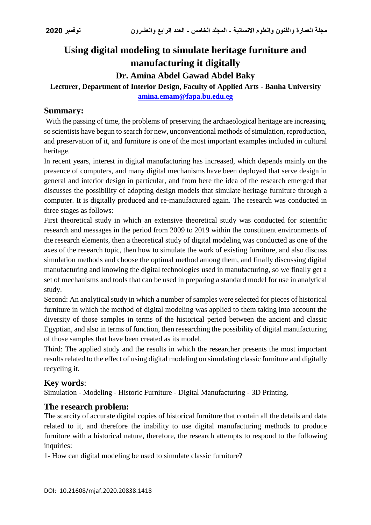# **Using digital modeling to simulate heritage furniture and manufacturing it digitally**

**Dr. Amina Abdel Gawad Abdel Baky**

# **Lecturer, Department of Interior Design, Faculty of Applied Arts - Banha University [amina.emam@fapa.bu.edu.eg](mailto:amina.emam@fapa.bu.edu.eg)**

# **Summary:**

With the passing of time, the problems of preserving the archaeological heritage are increasing, so scientists have begun to search for new, unconventional methods of simulation, reproduction, and preservation of it, and furniture is one of the most important examples included in cultural heritage.

In recent years, interest in digital manufacturing has increased, which depends mainly on the presence of computers, and many digital mechanisms have been deployed that serve design in general and interior design in particular, and from here the idea of the research emerged that discusses the possibility of adopting design models that simulate heritage furniture through a computer. It is digitally produced and re-manufactured again. The research was conducted in three stages as follows:

First theoretical study in which an extensive theoretical study was conducted for scientific research and messages in the period from 2009 to 2019 within the constituent environments of the research elements, then a theoretical study of digital modeling was conducted as one of the axes of the research topic, then how to simulate the work of existing furniture, and also discuss simulation methods and choose the optimal method among them, and finally discussing digital manufacturing and knowing the digital technologies used in manufacturing, so we finally get a set of mechanisms and tools that can be used in preparing a standard model for use in analytical study.

Second: An analytical study in which a number of samples were selected for pieces of historical furniture in which the method of digital modeling was applied to them taking into account the diversity of those samples in terms of the historical period between the ancient and classic Egyptian, and also in terms of function, then researching the possibility of digital manufacturing of those samples that have been created as its model.

Third: The applied study and the results in which the researcher presents the most important results related to the effect of using digital modeling on simulating classic furniture and digitally recycling it.

# **Key words**:

Simulation - Modeling - Historic Furniture - Digital Manufacturing - 3D Printing.

# **The research problem:**

The scarcity of accurate digital copies of historical furniture that contain all the details and data related to it, and therefore the inability to use digital manufacturing methods to produce furniture with a historical nature, therefore, the research attempts to respond to the following inquiries:

1- How can digital modeling be used to simulate classic furniture?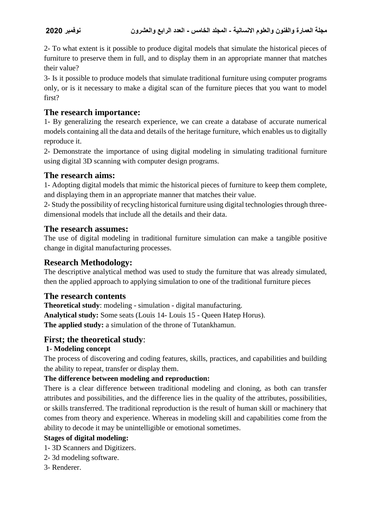2- To what extent is it possible to produce digital models that simulate the historical pieces of furniture to preserve them in full, and to display them in an appropriate manner that matches their value?

3- Is it possible to produce models that simulate traditional furniture using computer programs only, or is it necessary to make a digital scan of the furniture pieces that you want to model first?

### **The research importance:**

1- By generalizing the research experience, we can create a database of accurate numerical models containing all the data and details of the heritage furniture, which enables us to digitally reproduce it.

2- Demonstrate the importance of using digital modeling in simulating traditional furniture using digital 3D scanning with computer design programs.

### **The research aims:**

1- Adopting digital models that mimic the historical pieces of furniture to keep them complete, and displaying them in an appropriate manner that matches their value.

2- Study the possibility of recycling historical furniture using digital technologies through threedimensional models that include all the details and their data.

### **The research assumes:**

The use of digital modeling in traditional furniture simulation can make a tangible positive change in digital manufacturing processes.

# **Research Methodology:**

The descriptive analytical method was used to study the furniture that was already simulated, then the applied approach to applying simulation to one of the traditional furniture pieces

### **The research contents**

**Theoretical study**: modeling - simulation - digital manufacturing.

**Analytical study:** Some seats (Louis 14- Louis 15 - Queen Hatep Horus).

**The applied study:** a simulation of the throne of Tutankhamun.

### **First; the theoretical study**:

### **1- Modeling concept**

The process of discovering and coding features, skills, practices, and capabilities and building the ability to repeat, transfer or display them.

### **The difference between modeling and reproduction:**

There is a clear difference between traditional modeling and cloning, as both can transfer attributes and possibilities, and the difference lies in the quality of the attributes, possibilities, or skills transferred. The traditional reproduction is the result of human skill or machinery that comes from theory and experience. Whereas in modeling skill and capabilities come from the ability to decode it may be unintelligible or emotional sometimes.

### **Stages of digital modeling:**

- 1- 3D Scanners and Digitizers.
- 2- 3d modeling software.
- 3- Renderer.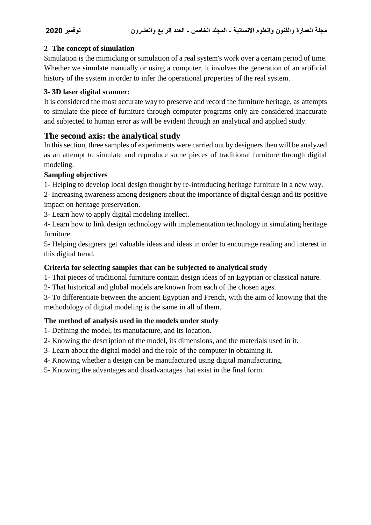### **2- The concept of simulation**

Simulation is the mimicking or simulation of a real system's work over a certain period of time. Whether we simulate manually or using a computer, it involves the generation of an artificial history of the system in order to infer the operational properties of the real system.

### **3- 3D laser digital scanner:**

It is considered the most accurate way to preserve and record the furniture heritage, as attempts to simulate the piece of furniture through computer programs only are considered inaccurate and subjected to human error as will be evident through an analytical and applied study.

# **The second axis: the analytical study**

In this section, three samples of experiments were carried out by designers then will be analyzed as an attempt to simulate and reproduce some pieces of traditional furniture through digital modeling.

### **Sampling objectives**

1- Helping to develop local design thought by re-introducing heritage furniture in a new way.

2- Increasing awareness among designers about the importance of digital design and its positive impact on heritage preservation.

3- Learn how to apply digital modeling intellect.

4- Learn how to link design technology with implementation technology in simulating heritage furniture.

5- Helping designers get valuable ideas and ideas in order to encourage reading and interest in this digital trend.

# **Criteria for selecting samples that can be subjected to analytical study**

1- That pieces of traditional furniture contain design ideas of an Egyptian or classical nature.

2- That historical and global models are known from each of the chosen ages.

3- To differentiate between the ancient Egyptian and French, with the aim of knowing that the methodology of digital modeling is the same in all of them.

### **The method of analysis used in the models under study**

- 1- Defining the model, its manufacture, and its location.
- 2- Knowing the description of the model, its dimensions, and the materials used in it.
- 3- Learn about the digital model and the role of the computer in obtaining it.
- 4- Knowing whether a design can be manufactured using digital manufacturing.
- 5- Knowing the advantages and disadvantages that exist in the final form.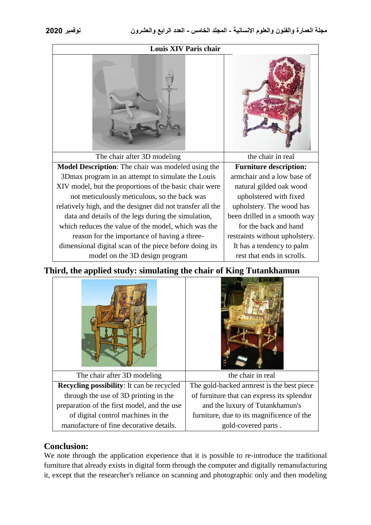| Louis XIV Paris chair                                      |                                |
|------------------------------------------------------------|--------------------------------|
|                                                            |                                |
| The chair after 3D modeling                                | the chair in real              |
| <b>Model Description:</b> The chair was modeled using the  | <b>Furniture description:</b>  |
| 3D max program in an attempt to simulate the Louis         | armchair and a low base of     |
| XIV model, but the proportions of the basic chair were     | natural gilded oak wood        |
| not meticulously meticulous, so the back was               | upholstered with fixed         |
| relatively high, and the designer did not transfer all the | upholstery. The wood has       |
| data and details of the legs during the simulation,        | been drilled in a smooth way   |
| which reduces the value of the model, which was the        | for the back and hand          |
| reason for the importance of having a three-               | restraints without upholstery. |
| dimensional digital scan of the piece before doing its     | It has a tendency to palm      |
| model on the 3D design program                             | rest that ends in scrolls.     |

**Third, the applied study: simulating the chair of King Tutankhamun**



# **Conclusion:**

We note through the application experience that it is possible to re-introduce the traditional furniture that already exists in digital form through the computer and digitally remanufacturing it, except that the researcher's reliance on scanning and photographic only and then modeling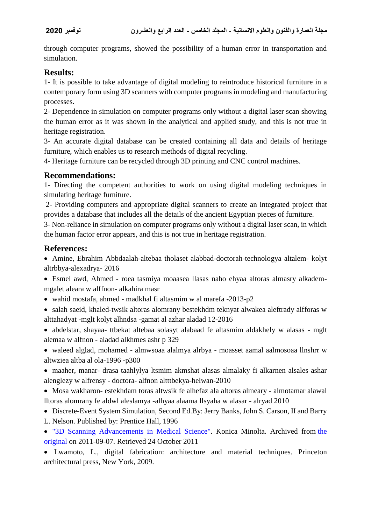through computer programs, showed the possibility of a human error in transportation and simulation.

# **Results:**

1- It is possible to take advantage of digital modeling to reintroduce historical furniture in a contemporary form using 3D scanners with computer programs in modeling and manufacturing processes.

2- Dependence in simulation on computer programs only without a digital laser scan showing the human error as it was shown in the analytical and applied study, and this is not true in heritage registration.

3- An accurate digital database can be created containing all data and details of heritage furniture, which enables us to research methods of digital recycling.

4- Heritage furniture can be recycled through 3D printing and CNC control machines.

### **Recommendations:**

1- Directing the competent authorities to work on using digital modeling techniques in simulating heritage furniture.

2- Providing computers and appropriate digital scanners to create an integrated project that provides a database that includes all the details of the ancient Egyptian pieces of furniture.

3- Non-reliance in simulation on computer programs only without a digital laser scan, in which the human factor error appears, and this is not true in heritage registration.

# **References:**

 Amine, Ebrahim Abbdaalah-altebaa tholaset alabbad-doctorah-technologya altalem- kolyt altrbbya-alexadrya- 2016

 Esmel awd, Ahmed - roea tasmiya moaasea llasas naho ehyaa altoras almasry alkademmgalet aleara w alffnon- alkahira masr

- wahid mostafa, ahmed madkhal fi altasmim w al marefa -2013-p2
- salah saeid, khaled-twsik altoras alomrany bestekhdm teknyat alwakea aleftrady alfforas w alttahadyat -mglt kolyt alhndsa -gamat al azhar aladad 12-2016
- abdelstar, shayaa- ttbekat altebaa solasyt alabaad fe altasmim aldakhely w alasas mglt alemaa w alfnon - aladad alkhmes ashr p 329

 waleed alglad, mohamed - almwsoaa alalmya alrbya - moasset aamal aalmosoaa llnshrr w altwziea altba al ola-1996 -p300

- maaher, manar- drasa taahlylya ltsmim akmshat alasas almalaky fi alkarnen alsales ashar alenglezy w alfrensy - doctora- alfnon altttbekya-helwan-2010
- Mosa wakharon- estekhdam toras altwsik fe alhefaz ala altoras almeary almotamar alawal lltoras alomrany fe aldwl aleslamya -alhyaa alaama llsyaha w alasar - alryad 2010
- Discrete-Event System Simulation, Second Ed.By: Jerry Banks, John S. Carson, II and Barry
- L. Nelson. Published by: Prentice Hall, 1996

 ["3D Scanning Advancements in Medical Science".](https://web.archive.org/web/20110907010052/http:/www.konicaminolta.com/sensingusa/application_notes/3D-Scanning/Applications-In-Medical-Science) Konica Minolta. Archived from [the](http://www.konicaminolta.com/sensingusa/application_notes/3D-Scanning/Applications-In-Medical-Science)  [original](http://www.konicaminolta.com/sensingusa/application_notes/3D-Scanning/Applications-In-Medical-Science) on 2011-09-07. Retrieved 24 October 2011

 Lwamoto, L., digital fabrication: architecture and material techniques. Princeton architectural press, New York, 2009.